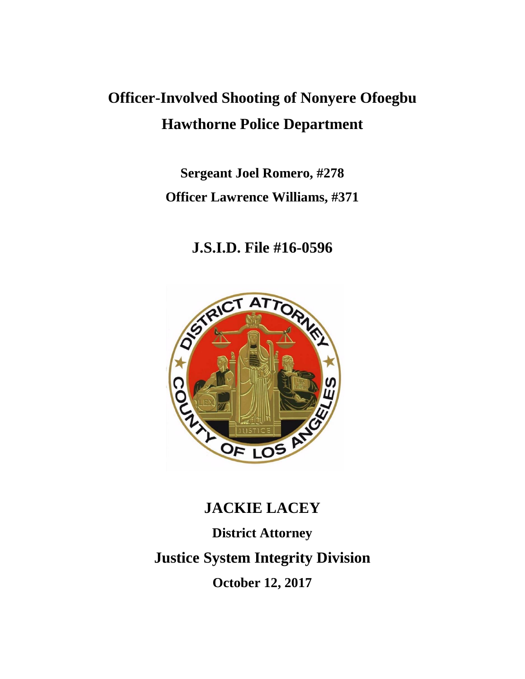## **Officer-Involved Shooting of Nonyere Ofoegbu Hawthorne Police Department**

**Sergeant Joel Romero, #278 Officer Lawrence Williams, #371**

**J.S.I.D. File #16-0596**



# **JACKIE LACEY District Attorney Justice System Integrity Division October 12, 2017**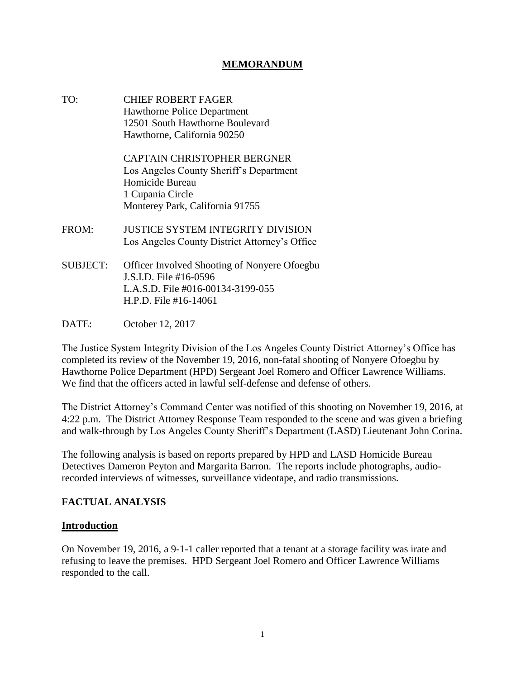## **MEMORANDUM**

TO: CHIEF ROBERT FAGER Hawthorne Police Department 12501 South Hawthorne Boulevard Hawthorne, California 90250

> CAPTAIN CHRISTOPHER BERGNER Los Angeles County Sheriff's Department Homicide Bureau 1 Cupania Circle Monterey Park, California 91755

- FROM: JUSTICE SYSTEM INTEGRITY DIVISION Los Angeles County District Attorney's Office
- SUBJECT: Officer Involved Shooting of Nonyere Ofoegbu J.S.I.D. File #16-0596 L.A.S.D. File #016-00134-3199-055 H.P.D. File #16-14061
- DATE: October 12, 2017

The Justice System Integrity Division of the Los Angeles County District Attorney's Office has completed its review of the November 19, 2016, non-fatal shooting of Nonyere Ofoegbu by Hawthorne Police Department (HPD) Sergeant Joel Romero and Officer Lawrence Williams. We find that the officers acted in lawful self-defense and defense of others.

The District Attorney's Command Center was notified of this shooting on November 19, 2016, at 4:22 p.m. The District Attorney Response Team responded to the scene and was given a briefing and walk-through by Los Angeles County Sheriff's Department (LASD) Lieutenant John Corina.

The following analysis is based on reports prepared by HPD and LASD Homicide Bureau Detectives Dameron Peyton and Margarita Barron. The reports include photographs, audiorecorded interviews of witnesses, surveillance videotape, and radio transmissions.

#### **FACTUAL ANALYSIS**

#### **Introduction**

On November 19, 2016, a 9-1-1 caller reported that a tenant at a storage facility was irate and refusing to leave the premises. HPD Sergeant Joel Romero and Officer Lawrence Williams responded to the call.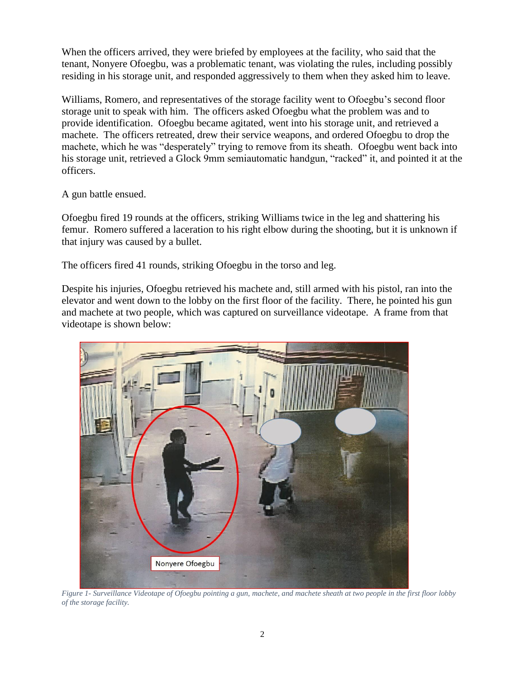When the officers arrived, they were briefed by employees at the facility, who said that the tenant, Nonyere Ofoegbu, was a problematic tenant, was violating the rules, including possibly residing in his storage unit, and responded aggressively to them when they asked him to leave.

Williams, Romero, and representatives of the storage facility went to Ofoegbu's second floor storage unit to speak with him. The officers asked Ofoegbu what the problem was and to provide identification. Ofoegbu became agitated, went into his storage unit, and retrieved a machete. The officers retreated, drew their service weapons, and ordered Ofoegbu to drop the machete, which he was "desperately" trying to remove from its sheath. Ofoegbu went back into his storage unit, retrieved a Glock 9mm semiautomatic handgun, "racked" it, and pointed it at the officers.

A gun battle ensued.

Ofoegbu fired 19 rounds at the officers, striking Williams twice in the leg and shattering his femur. Romero suffered a laceration to his right elbow during the shooting, but it is unknown if that injury was caused by a bullet.

The officers fired 41 rounds, striking Ofoegbu in the torso and leg.

Despite his injuries, Ofoegbu retrieved his machete and, still armed with his pistol, ran into the elevator and went down to the lobby on the first floor of the facility. There, he pointed his gun and machete at two people, which was captured on surveillance videotape. A frame from that videotape is shown below:



 *Figure 1- Surveillance Videotape of Ofoegbu pointing a gun, machete, and machete sheath at two people in the first floor lobby of the storage facility.*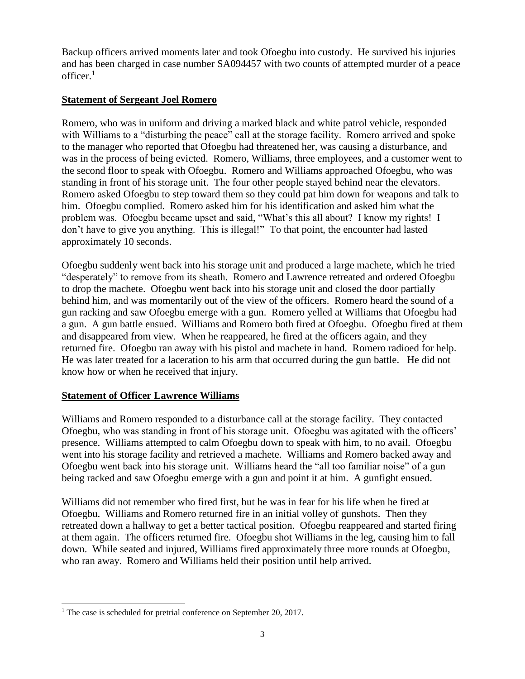Backup officers arrived moments later and took Ofoegbu into custody. He survived his injuries and has been charged in case number SA094457 with two counts of attempted murder of a peace officer. $1$ 

## **Statement of Sergeant Joel Romero**

Romero, who was in uniform and driving a marked black and white patrol vehicle, responded with Williams to a "disturbing the peace" call at the storage facility. Romero arrived and spoke to the manager who reported that Ofoegbu had threatened her, was causing a disturbance, and was in the process of being evicted. Romero, Williams, three employees, and a customer went to the second floor to speak with Ofoegbu. Romero and Williams approached Ofoegbu, who was standing in front of his storage unit. The four other people stayed behind near the elevators. Romero asked Ofoegbu to step toward them so they could pat him down for weapons and talk to him. Ofoegbu complied. Romero asked him for his identification and asked him what the problem was. Ofoegbu became upset and said, "What's this all about? I know my rights! I don't have to give you anything. This is illegal!" To that point, the encounter had lasted approximately 10 seconds.

Ofoegbu suddenly went back into his storage unit and produced a large machete, which he tried "desperately" to remove from its sheath. Romero and Lawrence retreated and ordered Ofoegbu to drop the machete. Ofoegbu went back into his storage unit and closed the door partially behind him, and was momentarily out of the view of the officers. Romero heard the sound of a gun racking and saw Ofoegbu emerge with a gun. Romero yelled at Williams that Ofoegbu had a gun. A gun battle ensued. Williams and Romero both fired at Ofoegbu. Ofoegbu fired at them and disappeared from view. When he reappeared, he fired at the officers again, and they returned fire. Ofoegbu ran away with his pistol and machete in hand. Romero radioed for help. He was later treated for a laceration to his arm that occurred during the gun battle. He did not know how or when he received that injury.

## **Statement of Officer Lawrence Williams**

Williams and Romero responded to a disturbance call at the storage facility. They contacted Ofoegbu, who was standing in front of his storage unit. Ofoegbu was agitated with the officers' presence. Williams attempted to calm Ofoegbu down to speak with him, to no avail. Ofoegbu went into his storage facility and retrieved a machete. Williams and Romero backed away and Ofoegbu went back into his storage unit. Williams heard the "all too familiar noise" of a gun being racked and saw Ofoegbu emerge with a gun and point it at him. A gunfight ensued.

Williams did not remember who fired first, but he was in fear for his life when he fired at Ofoegbu. Williams and Romero returned fire in an initial volley of gunshots. Then they retreated down a hallway to get a better tactical position. Ofoegbu reappeared and started firing at them again. The officers returned fire. Ofoegbu shot Williams in the leg, causing him to fall down. While seated and injured, Williams fired approximately three more rounds at Ofoegbu, who ran away. Romero and Williams held their position until help arrived.

l <sup>1</sup> The case is scheduled for pretrial conference on September 20, 2017.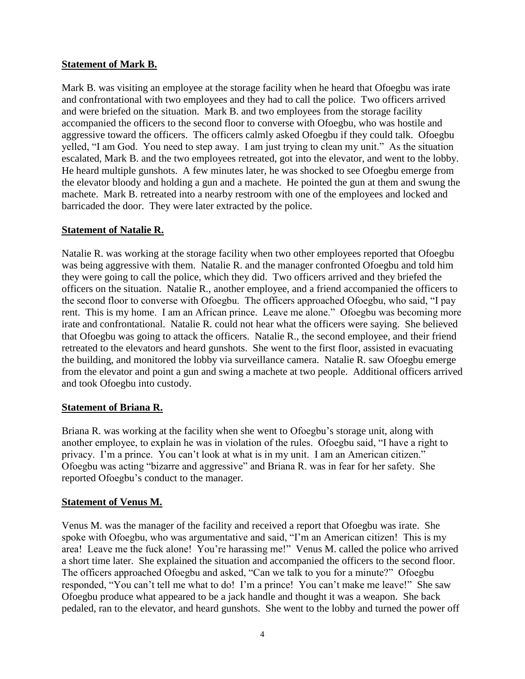## **Statement of Mark B.**

Mark B. was visiting an employee at the storage facility when he heard that Ofoegbu was irate and confrontational with two employees and they had to call the police. Two officers arrived and were briefed on the situation. Mark B. and two employees from the storage facility accompanied the officers to the second floor to converse with Ofoegbu, who was hostile and aggressive toward the officers. The officers calmly asked Ofoegbu if they could talk. Ofoegbu yelled, "I am God. You need to step away. I am just trying to clean my unit." As the situation escalated, Mark B. and the two employees retreated, got into the elevator, and went to the lobby. He heard multiple gunshots. A few minutes later, he was shocked to see Ofoegbu emerge from the elevator bloody and holding a gun and a machete. He pointed the gun at them and swung the machete. Mark B. retreated into a nearby restroom with one of the employees and locked and barricaded the door. They were later extracted by the police.

## **Statement of Natalie R.**

Natalie R. was working at the storage facility when two other employees reported that Ofoegbu was being aggressive with them. Natalie R. and the manager confronted Ofoegbu and told him they were going to call the police, which they did. Two officers arrived and they briefed the officers on the situation. Natalie R., another employee, and a friend accompanied the officers to the second floor to converse with Ofoegbu. The officers approached Ofoegbu, who said, "I pay rent. This is my home. I am an African prince. Leave me alone." Ofoegbu was becoming more irate and confrontational. Natalie R. could not hear what the officers were saying. She believed that Ofoegbu was going to attack the officers. Natalie R., the second employee, and their friend retreated to the elevators and heard gunshots. She went to the first floor, assisted in evacuating the building, and monitored the lobby via surveillance camera. Natalie R. saw Ofoegbu emerge from the elevator and point a gun and swing a machete at two people. Additional officers arrived and took Ofoegbu into custody.

#### **Statement of Briana R.**

Briana R. was working at the facility when she went to Ofoegbu's storage unit, along with another employee, to explain he was in violation of the rules. Ofoegbu said, "I have a right to privacy. I'm a prince. You can't look at what is in my unit. I am an American citizen." Ofoegbu was acting "bizarre and aggressive" and Briana R. was in fear for her safety. She reported Ofoegbu's conduct to the manager.

#### **Statement of Venus M.**

Venus M. was the manager of the facility and received a report that Ofoegbu was irate. She spoke with Ofoegbu, who was argumentative and said, "I'm an American citizen! This is my area! Leave me the fuck alone! You're harassing me!" Venus M. called the police who arrived a short time later. She explained the situation and accompanied the officers to the second floor. The officers approached Ofoegbu and asked, "Can we talk to you for a minute?" Ofoegbu responded, "You can't tell me what to do! I'm a prince! You can't make me leave!" She saw Ofoegbu produce what appeared to be a jack handle and thought it was a weapon. She back pedaled, ran to the elevator, and heard gunshots. She went to the lobby and turned the power off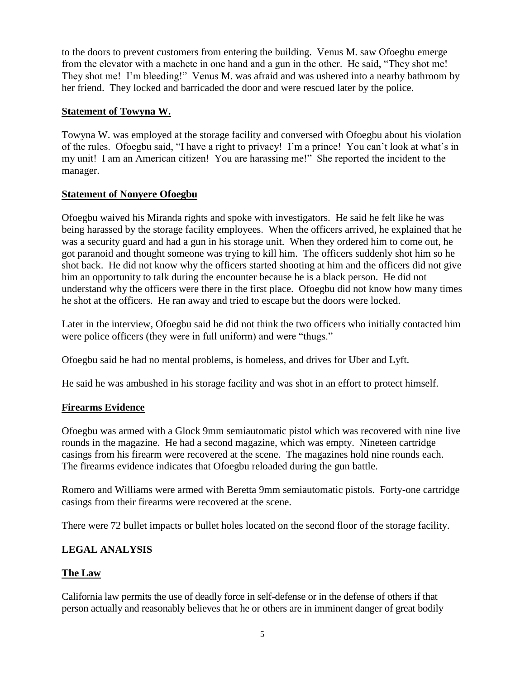to the doors to prevent customers from entering the building. Venus M. saw Ofoegbu emerge from the elevator with a machete in one hand and a gun in the other. He said, "They shot me! They shot me! I'm bleeding!" Venus M. was afraid and was ushered into a nearby bathroom by her friend. They locked and barricaded the door and were rescued later by the police.

## **Statement of Towyna W.**

Towyna W. was employed at the storage facility and conversed with Ofoegbu about his violation of the rules. Ofoegbu said, "I have a right to privacy! I'm a prince! You can't look at what's in my unit! I am an American citizen! You are harassing me!" She reported the incident to the manager.

## **Statement of Nonyere Ofoegbu**

Ofoegbu waived his Miranda rights and spoke with investigators. He said he felt like he was being harassed by the storage facility employees. When the officers arrived, he explained that he was a security guard and had a gun in his storage unit. When they ordered him to come out, he got paranoid and thought someone was trying to kill him. The officers suddenly shot him so he shot back. He did not know why the officers started shooting at him and the officers did not give him an opportunity to talk during the encounter because he is a black person. He did not understand why the officers were there in the first place. Ofoegbu did not know how many times he shot at the officers. He ran away and tried to escape but the doors were locked.

Later in the interview, Ofoegbu said he did not think the two officers who initially contacted him were police officers (they were in full uniform) and were "thugs."

Ofoegbu said he had no mental problems, is homeless, and drives for Uber and Lyft.

He said he was ambushed in his storage facility and was shot in an effort to protect himself.

## **Firearms Evidence**

Ofoegbu was armed with a Glock 9mm semiautomatic pistol which was recovered with nine live rounds in the magazine. He had a second magazine, which was empty. Nineteen cartridge casings from his firearm were recovered at the scene. The magazines hold nine rounds each. The firearms evidence indicates that Ofoegbu reloaded during the gun battle.

Romero and Williams were armed with Beretta 9mm semiautomatic pistols. Forty-one cartridge casings from their firearms were recovered at the scene.

There were 72 bullet impacts or bullet holes located on the second floor of the storage facility.

## **LEGAL ANALYSIS**

## **The Law**

California law permits the use of deadly force in self-defense or in the defense of others if that person actually and reasonably believes that he or others are in imminent danger of great bodily